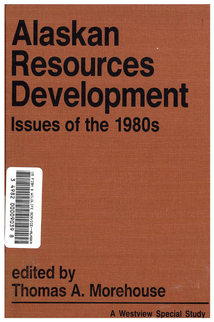# Alaskan Resources Development **Issues of the 1980s**



# edited by **Thomas A. Morehouse**

**A Westview Special Study**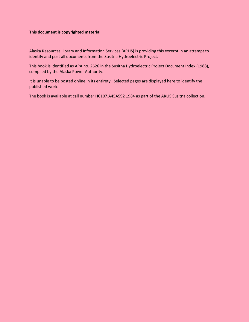#### **This document is copyrighted material.**

Alaska Resources Library and Information Services (ARLIS) is providing this excerpt in an attempt to identify and post all documents from the Susitna Hydroelectric Project.

This book is identified as APA no. 2626 in the Susitna Hydroelectric Project Document Index (1988), compiled by the Alaska Power Authority.

It is unable to be posted online in its entirety. Selected pages are displayed here to identify the published work.

The book is available at call number HC107.A45A592 1984 as part of the ARLIS Susitna collection.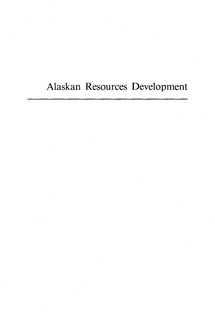## Alaskan Resources Development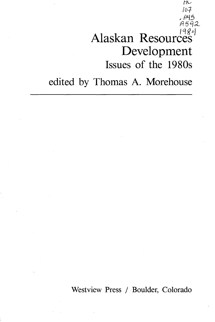# Alaskan Resources Development Issues of the 1980s

tJG */D}*  , P45 *A5 '12* 

edited by Thomas A. Morehouse

Westview Press / Boulder, Colorado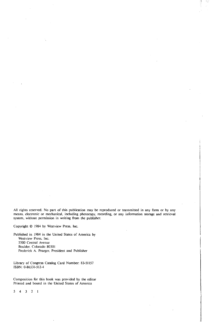All rights reserved. No part of this publication may be reproduced or transmitted in any form or by any means, electronic or mechanical, including photocopy, recording, or any information storage and retrieval system. without permission in writing from the publisher.

Copyright © 1984 by Westview Press, Inc.

Published in 1984 in the United States of America by **Westview Press. Inc.**  5500 Central Avenue Boulder. Colorado 80301 Frederick A. Praeger. President and Publisher

Library of Congress Catalog Card Number: 83-51157 ISBN: 0-86531-512-4

Composition for this book was provided by the editor Printed and bound in the United States of America

 $4 \t3 \t2 \t1$ 5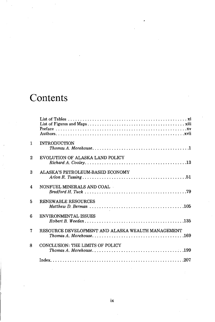## **Contents**

| 1              | <b>INTRODUCTION</b>                                                                                                                                                  |
|----------------|----------------------------------------------------------------------------------------------------------------------------------------------------------------------|
| $\overline{2}$ | EVOLUTION OF ALASKA LAND POLICY                                                                                                                                      |
| 3              | ALASKA'S PETROLEUM-BASED ECONOMY                                                                                                                                     |
| 4              | NONFUEL MINERALS AND COAL                                                                                                                                            |
| 5              | <b>RENEWABLE RESOURCES</b><br>$\textit{Matthew\ }D. \textit{Bernan}\ \ldots \ldots \ldots \ldots \ldots \ldots \ldots \ldots \ldots \ldots \ldots \ldots \ldots 105$ |
| 6              | <b>ENVIRONMENTAL ISSUES</b>                                                                                                                                          |
| 7              | RESOURCE DEVELOPMENT AND ALASKA WEALTH MANAGEMENT                                                                                                                    |
| 8              | <b>CONCLUSION: THE LIMITS OF POLICY</b>                                                                                                                              |
|                |                                                                                                                                                                      |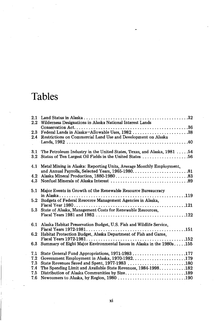## **Tables**

| 2.1<br>$2.2\,$     | Wilderness Designations in Alaska National Interest Lands                                                                            |
|--------------------|--------------------------------------------------------------------------------------------------------------------------------------|
| $2.3\,$<br>$2.4\,$ | Federal Lands in Alaska-Allowable Uses, 1982 38<br>Restrictions on Commercial Land Use and Development on Alaska                     |
|                    |                                                                                                                                      |
| 3.1<br>$3.2\,$     | The Petroleum Industry in the United States, Texas, and Alaska, 1981  54<br>Status of Ten Largest Oil Fields in the United States 56 |
| 4.1                | Metal Mining in Alaska: Reporting Units, Average Monthly Employment,                                                                 |
| 4.2                |                                                                                                                                      |
| 4.3                |                                                                                                                                      |
| 5.1                | Major Events in Growth of the Renewable Resource Bureaucracy                                                                         |
| 5.2                | Budgets of Federal Resource Management Agencies in Alaska,                                                                           |
|                    |                                                                                                                                      |
| 5.3                | State of Alaska, Management Costs for Renewable Resources.                                                                           |
| 6.1                | Alaska Habitat Preservation Budget, U.S. Fish and Wildlife Service,                                                                  |
|                    |                                                                                                                                      |
| 6.2                | Habitat Protection Budget, Alaska Department of Fish and Game,                                                                       |
| 6.3                | Summary of Eight Major Environmental Issues in Alaska in the 1980s155                                                                |
| 7.1                | State General Fund Appropriations, 1971-1983177                                                                                      |
| 7.2<br>7.3         | Government Employment in Alaska, 1970-1982. 179<br>State Revenues Saved and Spent, 1977-1983 180                                     |
| 7.4                | The Spending Limit and Available State Revenues, 1984-1998182                                                                        |
| 7.5                |                                                                                                                                      |
| 7.6                |                                                                                                                                      |